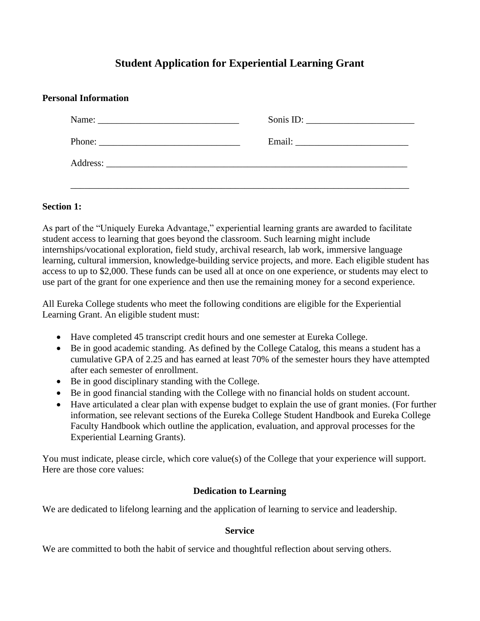# **Student Application for Experiential Learning Grant**

|                                                                                                                                                                                                                                                                                                                                                                                                              | Sonis ID: |
|--------------------------------------------------------------------------------------------------------------------------------------------------------------------------------------------------------------------------------------------------------------------------------------------------------------------------------------------------------------------------------------------------------------|-----------|
| Phone: $\frac{1}{\sqrt{1-\frac{1}{2}}\sqrt{1-\frac{1}{2}}\sqrt{1-\frac{1}{2}}\sqrt{1-\frac{1}{2}}\sqrt{1-\frac{1}{2}}\sqrt{1-\frac{1}{2}}\sqrt{1-\frac{1}{2}}\sqrt{1-\frac{1}{2}}\sqrt{1-\frac{1}{2}}\sqrt{1-\frac{1}{2}}\sqrt{1-\frac{1}{2}}\sqrt{1-\frac{1}{2}}\sqrt{1-\frac{1}{2}}\sqrt{1-\frac{1}{2}}\sqrt{1-\frac{1}{2}}\sqrt{1-\frac{1}{2}}\sqrt{1-\frac{1}{2}}\sqrt{1-\frac{1}{2}}\sqrt{1-\frac{1}{2$ |           |
|                                                                                                                                                                                                                                                                                                                                                                                                              |           |

# **Section 1:**

As part of the "Uniquely Eureka Advantage," experiential learning grants are awarded to facilitate student access to learning that goes beyond the classroom. Such learning might include internships/vocational exploration, field study, archival research, lab work, immersive language learning, cultural immersion, knowledge-building service projects, and more. Each eligible student has access to up to \$2,000. These funds can be used all at once on one experience, or students may elect to use part of the grant for one experience and then use the remaining money for a second experience.

All Eureka College students who meet the following conditions are eligible for the Experiential Learning Grant. An eligible student must:

- Have completed 45 transcript credit hours and one semester at Eureka College.
- Be in good academic standing. As defined by the College Catalog, this means a student has a cumulative GPA of 2.25 and has earned at least 70% of the semester hours they have attempted after each semester of enrollment.
- Be in good disciplinary standing with the College.
- Be in good financial standing with the College with no financial holds on student account.
- Have articulated a clear plan with expense budget to explain the use of grant monies. (For further information, see relevant sections of the Eureka College Student Handbook and Eureka College Faculty Handbook which outline the application, evaluation, and approval processes for the Experiential Learning Grants).

You must indicate, please circle, which core value(s) of the College that your experience will support. Here are those core values:

# **Dedication to Learning**

We are dedicated to lifelong learning and the application of learning to service and leadership.

# **Service**

We are committed to both the habit of service and thoughtful reflection about serving others.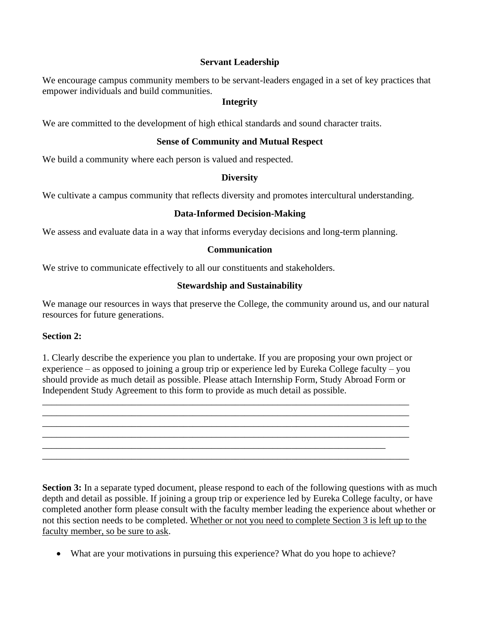# **Servant Leadership**

We encourage campus community members to be servant-leaders engaged in a set of key practices that empower individuals and build communities.

# **Integrity**

We are committed to the development of high ethical standards and sound character traits.

# **Sense of Community and Mutual Respect**

We build a community where each person is valued and respected.

# **Diversity**

We cultivate a campus community that reflects diversity and promotes intercultural understanding.

# **Data-Informed Decision-Making**

We assess and evaluate data in a way that informs everyday decisions and long-term planning.

# **Communication**

We strive to communicate effectively to all our constituents and stakeholders.

# **Stewardship and Sustainability**

We manage our resources in ways that preserve the College, the community around us, and our natural resources for future generations.

# **Section 2:**

1. Clearly describe the experience you plan to undertake. If you are proposing your own project or experience – as opposed to joining a group trip or experience led by Eureka College faculty – you should provide as much detail as possible. Please attach Internship Form, Study Abroad Form or Independent Study Agreement to this form to provide as much detail as possible.

\_\_\_\_\_\_\_\_\_\_\_\_\_\_\_\_\_\_\_\_\_\_\_\_\_\_\_\_\_\_\_\_\_\_\_\_\_\_\_\_\_\_\_\_\_\_\_\_\_\_\_\_\_\_\_\_\_\_\_\_\_\_\_\_\_\_\_\_\_\_\_\_\_\_\_\_\_\_ \_\_\_\_\_\_\_\_\_\_\_\_\_\_\_\_\_\_\_\_\_\_\_\_\_\_\_\_\_\_\_\_\_\_\_\_\_\_\_\_\_\_\_\_\_\_\_\_\_\_\_\_\_\_\_\_\_\_\_\_\_\_\_\_\_\_\_\_\_\_\_\_\_\_\_\_\_\_ \_\_\_\_\_\_\_\_\_\_\_\_\_\_\_\_\_\_\_\_\_\_\_\_\_\_\_\_\_\_\_\_\_\_\_\_\_\_\_\_\_\_\_\_\_\_\_\_\_\_\_\_\_\_\_\_\_\_\_\_\_\_\_\_\_\_\_\_\_\_\_\_\_\_\_\_\_\_ \_\_\_\_\_\_\_\_\_\_\_\_\_\_\_\_\_\_\_\_\_\_\_\_\_\_\_\_\_\_\_\_\_\_\_\_\_\_\_\_\_\_\_\_\_\_\_\_\_\_\_\_\_\_\_\_\_\_\_\_\_\_\_\_\_\_\_\_\_\_\_\_\_\_\_\_\_\_

\_\_\_\_\_\_\_\_\_\_\_\_\_\_\_\_\_\_\_\_\_\_\_\_\_\_\_\_\_\_\_\_\_\_\_\_\_\_\_\_\_\_\_\_\_\_\_\_\_\_\_\_\_\_\_\_\_\_\_\_\_\_\_\_\_\_\_\_\_\_\_\_\_\_\_\_\_\_

\_\_\_\_\_\_\_\_\_\_\_\_\_\_\_\_\_\_\_\_\_\_\_\_\_\_\_\_\_\_\_\_\_\_\_\_\_\_\_\_\_\_\_\_\_\_\_\_\_\_\_\_\_\_\_\_\_\_\_\_\_\_\_\_\_\_\_\_\_\_\_\_\_

**Section 3:** In a separate typed document, please respond to each of the following questions with as much depth and detail as possible. If joining a group trip or experience led by Eureka College faculty, or have completed another form please consult with the faculty member leading the experience about whether or not this section needs to be completed. Whether or not you need to complete Section 3 is left up to the faculty member, so be sure to ask.

• What are your motivations in pursuing this experience? What do you hope to achieve?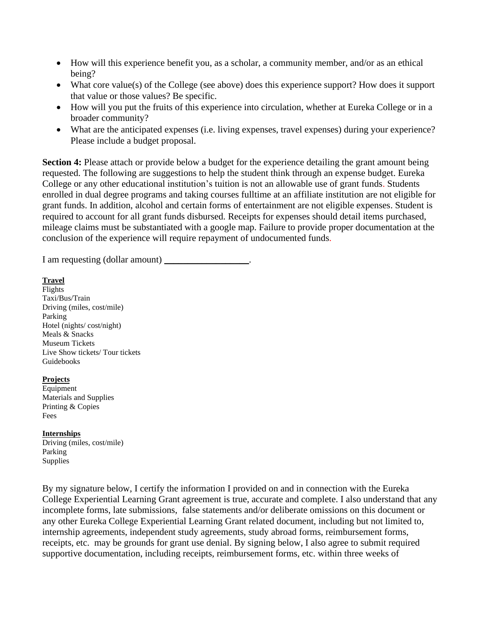- How will this experience benefit you, as a scholar, a community member, and/or as an ethical being?
- What core value(s) of the College (see above) does this experience support? How does it support that value or those values? Be specific.
- How will you put the fruits of this experience into circulation, whether at Eureka College or in a broader community?
- What are the anticipated expenses (i.e. living expenses, travel expenses) during your experience? Please include a budget proposal.

**Section 4:** Please attach or provide below a budget for the experience detailing the grant amount being requested. The following are suggestions to help the student think through an expense budget. Eureka College or any other educational institution's tuition is not an allowable use of grant funds. Students enrolled in dual degree programs and taking courses fulltime at an affiliate institution are not eligible for grant funds. In addition, alcohol and certain forms of entertainment are not eligible expenses. Student is required to account for all grant funds disbursed. Receipts for expenses should detail items purchased, mileage claims must be substantiated with a google map. Failure to provide proper documentation at the conclusion of the experience will require repayment of undocumented funds*.*

I am requesting (dollar amount)

#### **Travel**

Flights Taxi/Bus/Train Driving (miles, cost/mile) Parking Hotel (nights/ cost/night) Meals & Snacks Museum Tickets Live Show tickets/ Tour tickets Guidebooks

#### **Projects**

Equipment Materials and Supplies Printing & Copies Fees

#### **Internships**

Driving (miles, cost/mile) Parking Supplies

By my signature below, I certify the information I provided on and in connection with the Eureka College Experiential Learning Grant agreement is true, accurate and complete. I also understand that any incomplete forms, late submissions, false statements and/or deliberate omissions on this document or any other Eureka College Experiential Learning Grant related document, including but not limited to, internship agreements, independent study agreements, study abroad forms, reimbursement forms, receipts, etc. may be grounds for grant use denial. By signing below, I also agree to submit required supportive documentation, including receipts, reimbursement forms, etc. within three weeks of